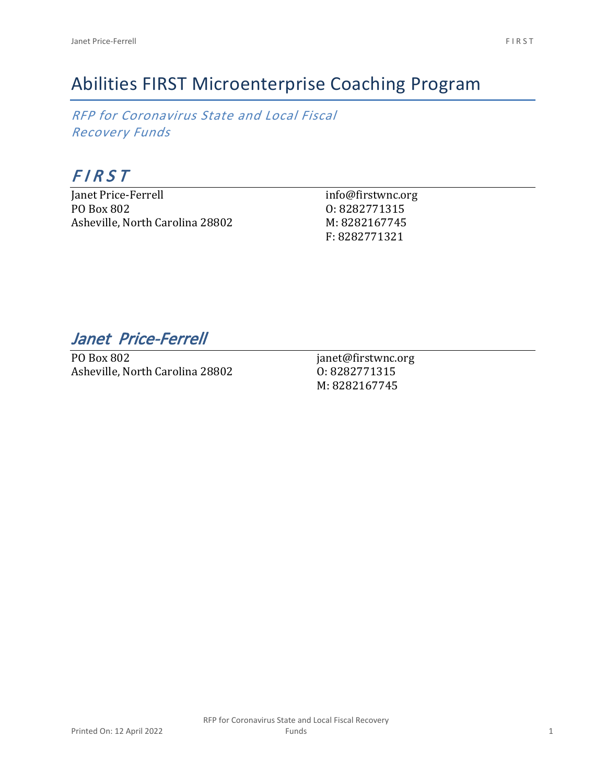*RFP for Coronavirus State and Local Fiscal Recovery Funds*

## *F I R S T*

Janet Price-Ferrell PO Box 802 Asheville, North Carolina 28802 info@firstwnc.org O: 8282771315 M: 8282167745 F: 8282771321

*Janet Price-Ferrell* 

PO Box 802 Asheville, North Carolina 28802

janet@firstwnc.org O: 8282771315 M: 8282167745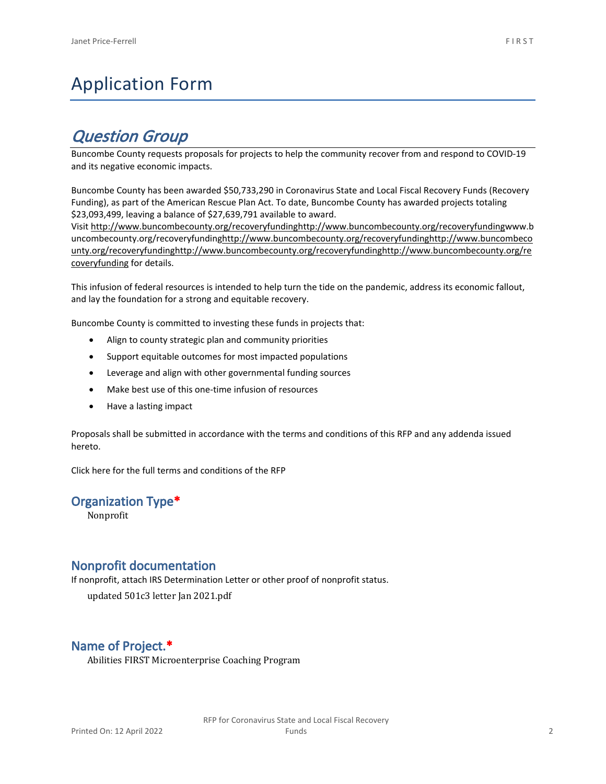# Application Form

## *Question Group*

Buncombe County requests proposals for projects to help the community recover from and respond to COVID-19 and its negative economic impacts.

Buncombe County has been awarded \$50,733,290 in Coronavirus State and Local Fiscal Recovery Funds (Recovery Funding), as part of the American Rescue Plan Act. To date, Buncombe County has awarded projects totaling \$23,093,499, leaving a balance of \$27,639,791 available to award.

Visit [http://www.buncombecounty.org/recoveryfundinghttp://www.buncombecounty.org/recoveryfundingwww.b](http://www.buncombecounty.org/recoveryfunding) [uncombecounty.org/recoveryfundinghttp://www.buncombecounty.org/recoveryfundinghttp://www.buncombeco](http://www.buncombecounty.org/recoveryfunding) [unty.org/recoveryfundinghttp://www.buncombecounty.org/recoveryfundinghttp://www.buncombecounty.org/re](http://www.buncombecounty.org/recoveryfunding) [coveryfunding](http://www.buncombecounty.org/recoveryfunding) for details.

This infusion of federal resources is intended to help turn the tide on the pandemic, address its economic fallout, and lay the foundation for a strong and equitable recovery.

Buncombe County is committed to investing these funds in projects that:

- Align to county strategic plan and community priorities
- Support equitable outcomes for most impacted populations
- Leverage and align with other governmental funding sources
- Make best use of this one-time infusion of resources
- Have a lasting impact

Proposals shall be submitted in accordance with the terms and conditions of this RFP and any addenda issued hereto.

Click [here](https://www.buncombecounty.org/common/purchasing/Buncombe%20Recovery%20Funding%20RFP%202022.pdf) for the full terms and conditions of the RFP

#### **Organization Type\***

Nonprofit

#### **Nonprofit documentation**

If nonprofit, attach IRS Determination Letter or other proof of nonprofit status.

updated 501c3 letter Jan 2021.pdf

#### **Name of Project.\***

Abilities FIRST Microenterprise Coaching Program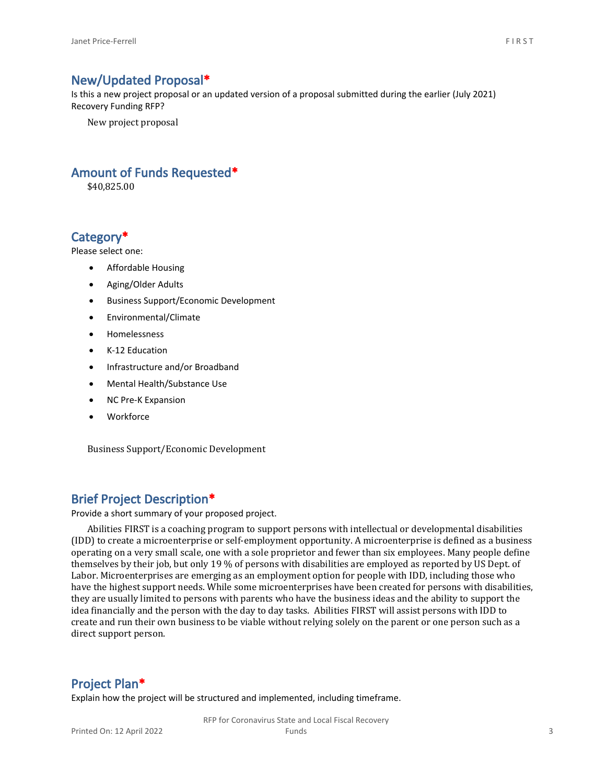#### **New/Updated Proposal\***

Is this a new project proposal or an updated version of a proposal submitted during the earlier (July 2021) Recovery Funding RFP?

New project proposal

#### **Amount of Funds Requested\***

\$40,825.00

#### **Category\***

Please select one:

- Affordable Housing
- Aging/Older Adults
- Business Support/Economic Development
- Environmental/Climate
- Homelessness
- K-12 Education
- Infrastructure and/or Broadband
- Mental Health/Substance Use
- NC Pre-K Expansion
- Workforce

Business Support/Economic Development

#### **Brief Project Description\***

Provide a short summary of your proposed project.

Abilities FIRST is a coaching program to support persons with intellectual or developmental disabilities (IDD) to create a microenterprise or self-employment opportunity. A microenterprise is defined as a business operating on a very small scale, one with a sole proprietor and fewer than six employees. Many people define themselves by their job, but only 19 % of persons with disabilities are employed as reported by US Dept. of Labor. Microenterprises are emerging as an employment option for people with IDD, including those who have the highest support needs. While some microenterprises have been created for persons with disabilities, they are usually limited to persons with parents who have the business ideas and the ability to support the idea financially and the person with the day to day tasks. Abilities FIRST will assist persons with IDD to create and run their own business to be viable without relying solely on the parent or one person such as a direct support person.

#### **Project Plan\***

Explain how the project will be structured and implemented, including timeframe.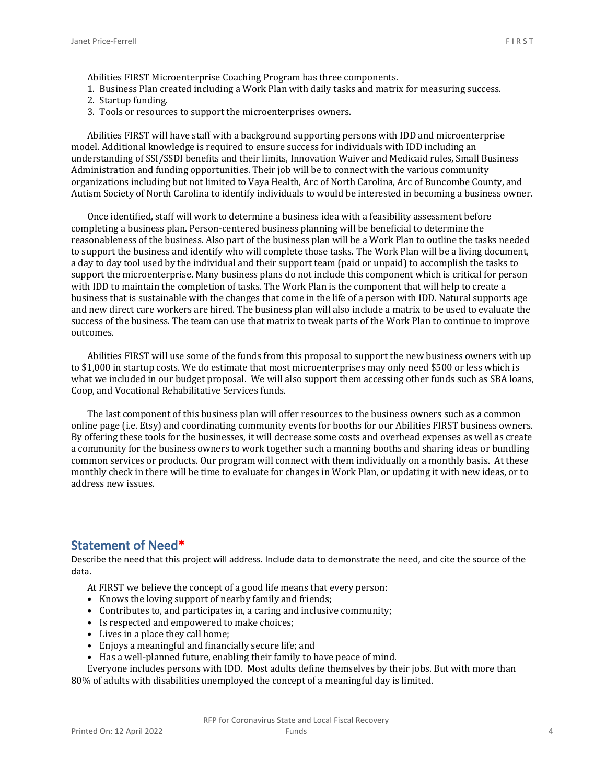- 1. Business Plan created including a Work Plan with daily tasks and matrix for measuring success.
- 2. Startup funding.
- 3. Tools or resources to support the microenterprises owners.

Abilities FIRST will have staff with a background supporting persons with IDD and microenterprise model. Additional knowledge is required to ensure success for individuals with IDD including an understanding of SSI/SSDI benefits and their limits, Innovation Waiver and Medicaid rules, Small Business Administration and funding opportunities. Their job will be to connect with the various community organizations including but not limited to Vaya Health, Arc of North Carolina, Arc of Buncombe County, and Autism Society of North Carolina to identify individuals to would be interested in becoming a business owner.

Once identified, staff will work to determine a business idea with a feasibility assessment before completing a business plan. Person-centered business planning will be beneficial to determine the reasonableness of the business. Also part of the business plan will be a Work Plan to outline the tasks needed to support the business and identify who will complete those tasks. The Work Plan will be a living document, a day to day tool used by the individual and their support team (paid or unpaid) to accomplish the tasks to support the microenterprise. Many business plans do not include this component which is critical for person with IDD to maintain the completion of tasks. The Work Plan is the component that will help to create a business that is sustainable with the changes that come in the life of a person with IDD. Natural supports age and new direct care workers are hired. The business plan will also include a matrix to be used to evaluate the success of the business. The team can use that matrix to tweak parts of the Work Plan to continue to improve outcomes.

Abilities FIRST will use some of the funds from this proposal to support the new business owners with up to \$1,000 in startup costs. We do estimate that most microenterprises may only need \$500 or less which is what we included in our budget proposal. We will also support them accessing other funds such as SBA loans, Coop, and Vocational Rehabilitative Services funds.

The last component of this business plan will offer resources to the business owners such as a common online page (i.e. Etsy) and coordinating community events for booths for our Abilities FIRST business owners. By offering these tools for the businesses, it will decrease some costs and overhead expenses as well as create a community for the business owners to work together such a manning booths and sharing ideas or bundling common services or products. Our program will connect with them individually on a monthly basis. At these monthly check in there will be time to evaluate for changes in Work Plan, or updating it with new ideas, or to address new issues.

#### **Statement of Need\***

Describe the need that this project will address. Include data to demonstrate the need, and cite the source of the data.

At FIRST we believe the concept of a good life means that every person:

- Knows the loving support of nearby family and friends;
- Contributes to, and participates in, a caring and inclusive community;
- Is respected and empowered to make choices;
- Lives in a place they call home;
- Enjoys a meaningful and financially secure life; and
- Has a well-planned future, enabling their family to have peace of mind.

Everyone includes persons with IDD. Most adults define themselves by their jobs. But with more than 80% of adults with disabilities unemployed the concept of a meaningful day is limited.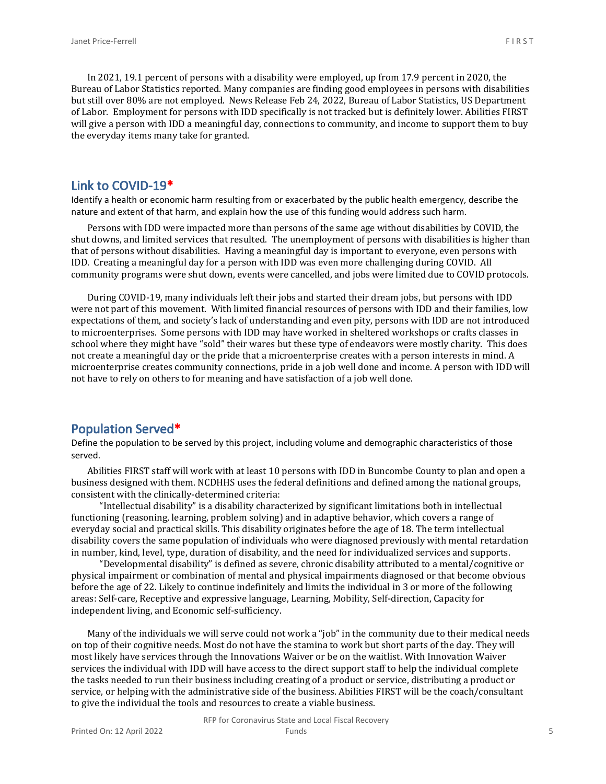In 2021, 19.1 percent of persons with a disability were employed, up from 17.9 percent in 2020, the Bureau of Labor Statistics reported. Many companies are finding good employees in persons with disabilities but still over 80% are not employed. News Release Feb 24, 2022, Bureau of Labor Statistics, US Department of Labor. Employment for persons with IDD specifically is not tracked but is definitely lower. Abilities FIRST will give a person with IDD a meaningful day, connections to community, and income to support them to buy the everyday items many take for granted.

#### **Link to COVID-19\***

Identify a health or economic harm resulting from or exacerbated by the public health emergency, describe the nature and extent of that harm, and explain how the use of this funding would address such harm.

Persons with IDD were impacted more than persons of the same age without disabilities by COVID, the shut downs, and limited services that resulted. The unemployment of persons with disabilities is higher than that of persons without disabilities. Having a meaningful day is important to everyone, even persons with IDD. Creating a meaningful day for a person with IDD was even more challenging during COVID. All community programs were shut down, events were cancelled, and jobs were limited due to COVID protocols.

During COVID-19, many individuals left their jobs and started their dream jobs, but persons with IDD were not part of this movement. With limited financial resources of persons with IDD and their families, low expectations of them, and society's lack of understanding and even pity, persons with IDD are not introduced to microenterprises. Some persons with IDD may have worked in sheltered workshops or crafts classes in school where they might have "sold" their wares but these type of endeavors were mostly charity. This does not create a meaningful day or the pride that a microenterprise creates with a person interests in mind. A microenterprise creates community connections, pride in a job well done and income. A person with IDD will not have to rely on others to for meaning and have satisfaction of a job well done.

#### **Population Served\***

Define the population to be served by this project, including volume and demographic characteristics of those served.

Abilities FIRST staff will work with at least 10 persons with IDD in Buncombe County to plan and open a business designed with them. NCDHHS uses the federal definitions and defined among the national groups, consistent with the clinically-determined criteria:

"Intellectual disability" is a disability characterized by significant limitations both in intellectual functioning (reasoning, learning, problem solving) and in adaptive behavior, which covers a range of everyday social and practical skills. This disability originates before the age of 18. The term intellectual disability covers the same population of individuals who were diagnosed previously with mental retardation in number, kind, level, type, duration of disability, and the need for individualized services and supports.

"Developmental disability" is defined as severe, chronic disability attributed to a mental/cognitive or physical impairment or combination of mental and physical impairments diagnosed or that become obvious before the age of 22. Likely to continue indefinitely and limits the individual in 3 or more of the following areas: Self-care, Receptive and expressive language, Learning, Mobility, Self-direction, Capacity for independent living, and Economic self-sufficiency.

Many of the individuals we will serve could not work a "job" in the community due to their medical needs on top of their cognitive needs. Most do not have the stamina to work but short parts of the day. They will most likely have services through the Innovations Waiver or be on the waitlist. With Innovation Waiver services the individual with IDD will have access to the direct support staff to help the individual complete the tasks needed to run their business including creating of a product or service, distributing a product or service, or helping with the administrative side of the business. Abilities FIRST will be the coach/consultant to give the individual the tools and resources to create a viable business.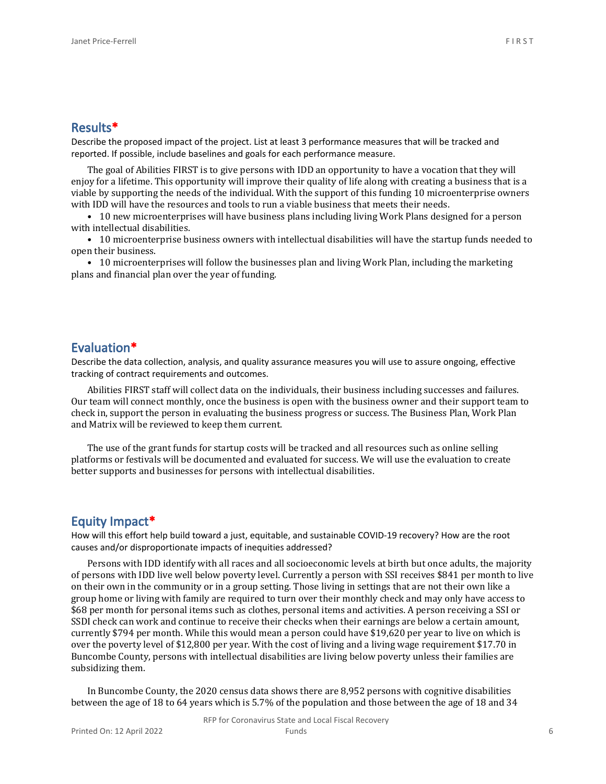Describe the proposed impact of the project. List at least 3 performance measures that will be tracked and reported. If possible, include baselines and goals for each performance measure.

The goal of Abilities FIRST is to give persons with IDD an opportunity to have a vocation that they will enjoy for a lifetime. This opportunity will improve their quality of life along with creating a business that is a viable by supporting the needs of the individual. With the support of this funding 10 microenterprise owners with IDD will have the resources and tools to run a viable business that meets their needs.

• 10 new microenterprises will have business plans including living Work Plans designed for a person with intellectual disabilities.

• 10 microenterprise business owners with intellectual disabilities will have the startup funds needed to open their business.

• 10 microenterprises will follow the businesses plan and living Work Plan, including the marketing plans and financial plan over the year of funding.

#### **Evaluation\***

Describe the data collection, analysis, and quality assurance measures you will use to assure ongoing, effective tracking of contract requirements and outcomes.

Abilities FIRST staff will collect data on the individuals, their business including successes and failures. Our team will connect monthly, once the business is open with the business owner and their support team to check in, support the person in evaluating the business progress or success. The Business Plan, Work Plan and Matrix will be reviewed to keep them current.

The use of the grant funds for startup costs will be tracked and all resources such as online selling platforms or festivals will be documented and evaluated for success. We will use the evaluation to create better supports and businesses for persons with intellectual disabilities.

#### **Equity Impact\***

How will this effort help build toward a just, equitable, and sustainable COVID-19 recovery? How are the root causes and/or disproportionate impacts of inequities addressed?

Persons with IDD identify with all races and all socioeconomic levels at birth but once adults, the majority of persons with IDD live well below poverty level. Currently a person with SSI receives \$841 per month to live on their own in the community or in a group setting. Those living in settings that are not their own like a group home or living with family are required to turn over their monthly check and may only have access to \$68 per month for personal items such as clothes, personal items and activities. A person receiving a SSI or SSDI check can work and continue to receive their checks when their earnings are below a certain amount, currently \$794 per month. While this would mean a person could have \$19,620 per year to live on which is over the poverty level of \$12,800 per year. With the cost of living and a living wage requirement \$17.70 in Buncombe County, persons with intellectual disabilities are living below poverty unless their families are subsidizing them.

In Buncombe County, the 2020 census data shows there are 8,952 persons with cognitive disabilities between the age of 18 to 64 years which is 5.7% of the population and those between the age of 18 and 34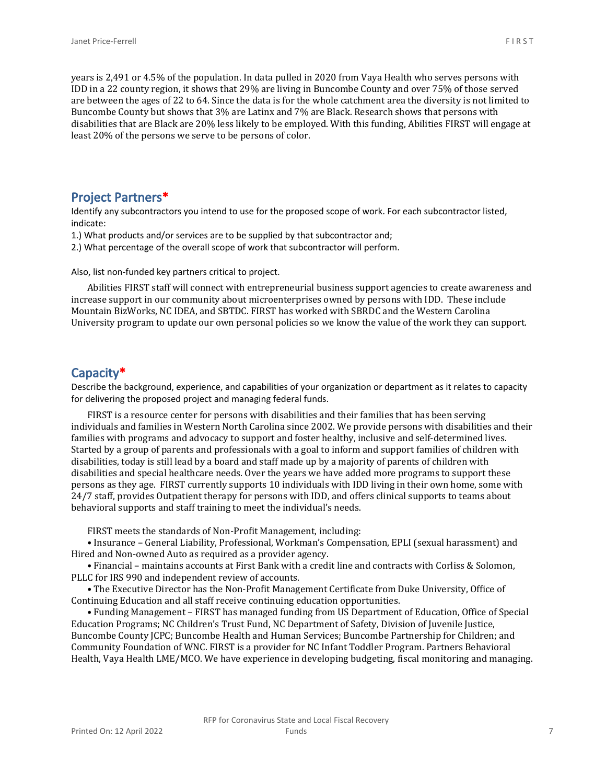years is 2,491 or 4.5% of the population. In data pulled in 2020 from Vaya Health who serves persons with IDD in a 22 county region, it shows that 29% are living in Buncombe County and over 75% of those served are between the ages of 22 to 64. Since the data is for the whole catchment area the diversity is not limited to Buncombe County but shows that 3% are Latinx and 7% are Black. Research shows that persons with disabilities that are Black are 20% less likely to be employed. With this funding, Abilities FIRST will engage at least 20% of the persons we serve to be persons of color.

### **Project Partners\***

Identify any subcontractors you intend to use for the proposed scope of work. For each subcontractor listed, indicate:

1.) What products and/or services are to be supplied by that subcontractor and;

2.) What percentage of the overall scope of work that subcontractor will perform.

Also, list non-funded key partners critical to project.

Abilities FIRST staff will connect with entrepreneurial business support agencies to create awareness and increase support in our community about microenterprises owned by persons with IDD. These include Mountain BizWorks, NC IDEA, and SBTDC. FIRST has worked with SBRDC and the Western Carolina University program to update our own personal policies so we know the value of the work they can support.

## **Capacity\***

Describe the background, experience, and capabilities of your organization or department as it relates to capacity for delivering the proposed project and managing federal funds.

FIRST is a resource center for persons with disabilities and their families that has been serving individuals and families in Western North Carolina since 2002. We provide persons with disabilities and their families with programs and advocacy to support and foster healthy, inclusive and self-determined lives. Started by a group of parents and professionals with a goal to inform and support families of children with disabilities, today is still lead by a board and staff made up by a majority of parents of children with disabilities and special healthcare needs. Over the years we have added more programs to support these persons as they age. FIRST currently supports 10 individuals with IDD living in their own home, some with 24/7 staff, provides Outpatient therapy for persons with IDD, and offers clinical supports to teams about behavioral supports and staff training to meet the individual's needs.

FIRST meets the standards of Non-Profit Management, including:

• Insurance – General Liability, Professional, Workman's Compensation, EPLI (sexual harassment) and Hired and Non-owned Auto as required as a provider agency.

• Financial – maintains accounts at First Bank with a credit line and contracts with Corliss & Solomon, PLLC for IRS 990 and independent review of accounts.

• The Executive Director has the Non-Profit Management Certificate from Duke University, Office of Continuing Education and all staff receive continuing education opportunities.

• Funding Management – FIRST has managed funding from US Department of Education, Office of Special Education Programs; NC Children's Trust Fund, NC Department of Safety, Division of Juvenile Justice, Buncombe County JCPC; Buncombe Health and Human Services; Buncombe Partnership for Children; and Community Foundation of WNC. FIRST is a provider for NC Infant Toddler Program. Partners Behavioral Health, Vaya Health LME/MCO. We have experience in developing budgeting, fiscal monitoring and managing.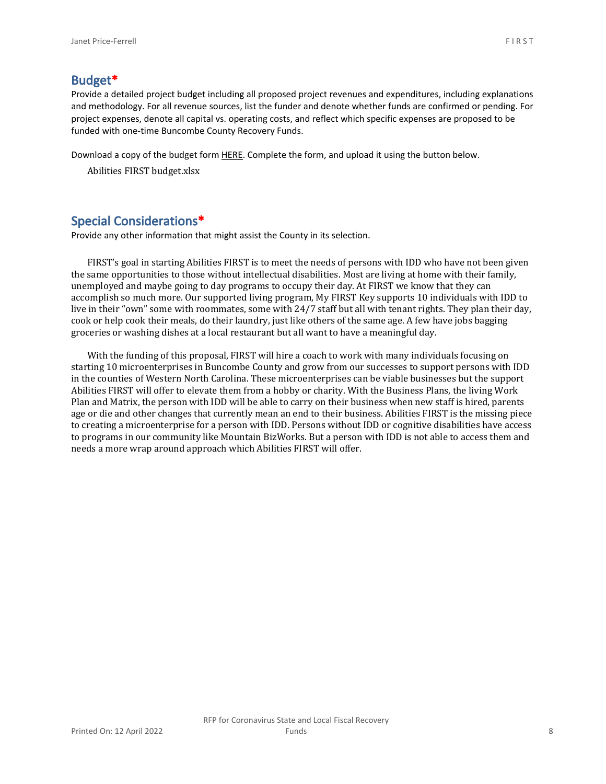#### **Budget\***

Provide a detailed project budget including all proposed project revenues and expenditures, including explanations and methodology. For all revenue sources, list the funder and denote whether funds are confirmed or pending. For project expenses, denote all capital vs. operating costs, and reflect which specific expenses are proposed to be funded with one-time Buncombe County Recovery Funds.

Download a copy of the budget form [HERE](https://buncombecounty.org/common/community-investment/grants/early-childhood-education/Recovery-Funds-budget-template.xlsx). Complete the form, and upload it using the button below.

Abilities FIRST budget.xlsx

### **Special Considerations\***

Provide any other information that might assist the County in its selection.

FIRST's goal in starting Abilities FIRST is to meet the needs of persons with IDD who have not been given the same opportunities to those without intellectual disabilities. Most are living at home with their family, unemployed and maybe going to day programs to occupy their day. At FIRST we know that they can accomplish so much more. Our supported living program, My FIRST Key supports 10 individuals with IDD to live in their "own" some with roommates, some with 24/7 staff but all with tenant rights. They plan their day, cook or help cook their meals, do their laundry, just like others of the same age. A few have jobs bagging groceries or washing dishes at a local restaurant but all want to have a meaningful day.

With the funding of this proposal, FIRST will hire a coach to work with many individuals focusing on starting 10 microenterprises in Buncombe County and grow from our successes to support persons with IDD in the counties of Western North Carolina. These microenterprises can be viable businesses but the support Abilities FIRST will offer to elevate them from a hobby or charity. With the Business Plans, the living Work Plan and Matrix, the person with IDD will be able to carry on their business when new staff is hired, parents age or die and other changes that currently mean an end to their business. Abilities FIRST is the missing piece to creating a microenterprise for a person with IDD. Persons without IDD or cognitive disabilities have access to programs in our community like Mountain BizWorks. But a person with IDD is not able to access them and needs a more wrap around approach which Abilities FIRST will offer.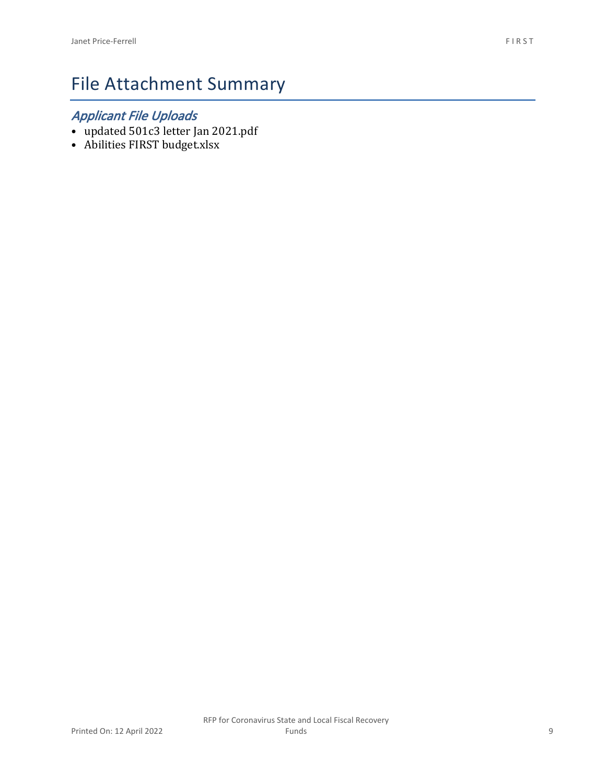# File Attachment Summary

## *Applicant File Uploads*

- updated 501c3 letter Jan 2021.pdf
- Abilities FIRST budget.xlsx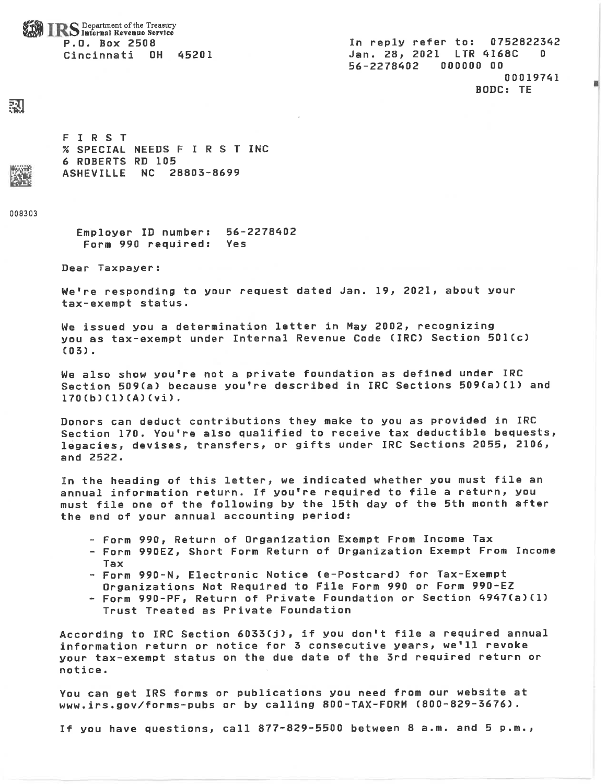**IRS** Department of the Treasury P.O. Box 2508 Cincinnati OH 45201

In reply refer to: 0752822342 Jan. 28, 2021 LTR 4168C  $\Omega$ 56-2278402 000000 00 00019741 **BODC: TE** 

### 鄍

FIRST % SPECIAL NEEDS F I R S T INC **6 ROBERTS RD 105** ASHEVILLE NC 28803-8699

008303

56-2278402 Employer ID number: Form 990 required: Yes

Dear Taxpayer:

We're responding to your request dated Jan. 19, 2021, about your tax-exempt status.

We issued you a determination letter in May 2002, recognizing you as tax-exempt under Internal Revenue Code (IRC) Section 501(c)  $(03)$ .

We also show you're not a private foundation as defined under IRC Section 509(a) because you're described in IRC Sections 509(a)(1) and  $170(b)(1)(A)(v_i)$ .

Donors can deduct contributions they make to you as provided in IRC Section 170. You're also qualified to receive tax deductible bequests, legacies, devises, transfers, or gifts under IRC Sections 2055, 2106, and 2522.

In the heading of this letter, we indicated whether you must file an annual information return. If you're required to file a return, you must file one of the following by the 15th day of the 5th month after the end of your annual accounting period:

- Form 990, Return of Organization Exempt From Income Tax
- Form 990EZ, Short Form Return of Organization Exempt From Income Tax
- Form 990-N, Electronic Notice (e-Postcard) for Tax-Exempt
- Organizations Not Required to File Form 990 or Form 990-EZ
- Form 990-PF, Return of Private Foundation or Section 4947(a)(1) Trust Treated as Private Foundation

According to IRC Section 6033(j), if you don't file a required annual information return or notice for 3 consecutive years, we'll revoke your tax-exempt status on the due date of the 3rd required return or notice.

You can get IRS forms or publications you need from our website at www.irs.gov/forms-pubs or by calling 800-TAX-FORM (800-829-3676).

If you have questions, call 877-829-5500 between 8 a.m. and 5 p.m.,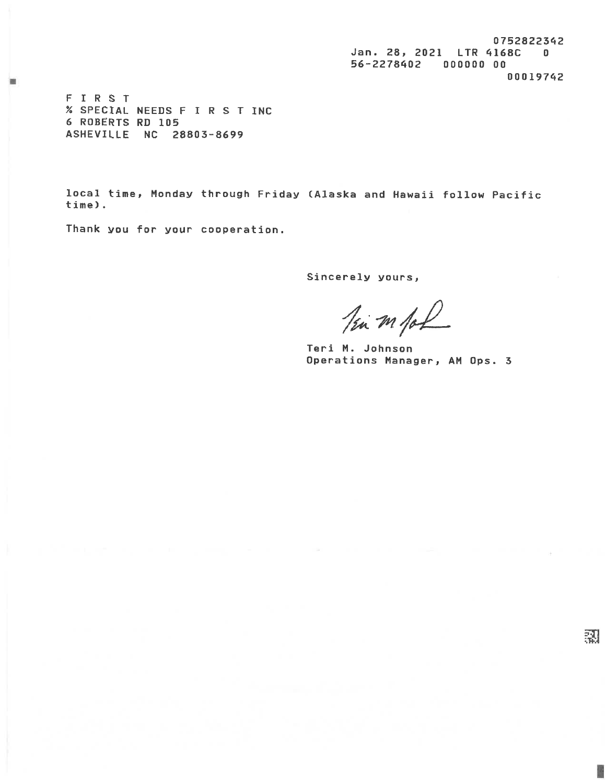0752822342 Jan. 28, 2021 LTR 4168C 0 56-2278402 000000 00 00019742

FIRST % SPECIAL NEEDS F I R S T INC 6 ROBERTS RD 105 ASHEVILLE NC 28803-8699

local time, Monday through Friday (Alaska and Hawaii follow Pacific time).

Thank you for your cooperation.

Sincerely yours,

Tim m for

Teri M. Johnson Operations Manager, AM Ops. 3